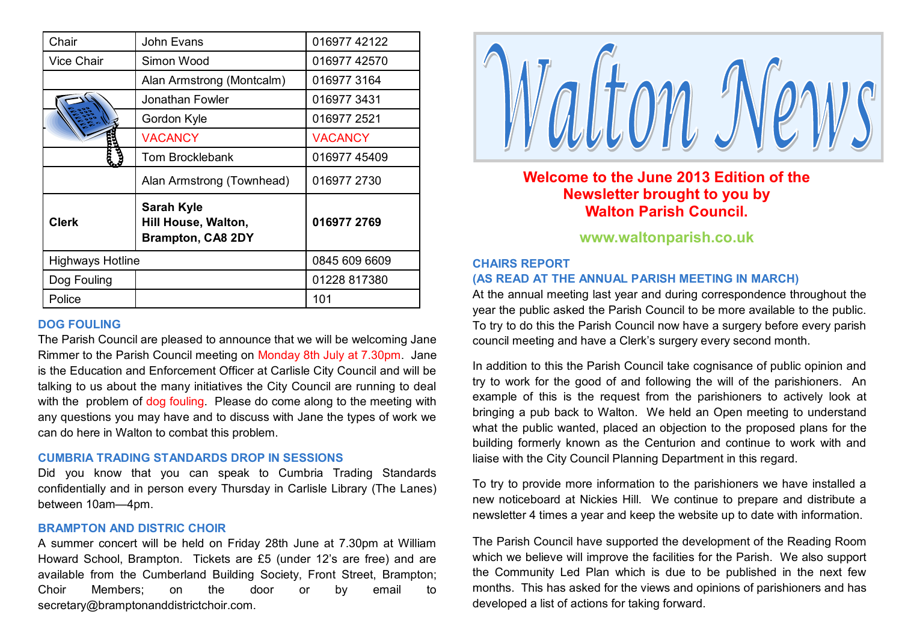| Chair                   | John Evans                                                           | 016977 42122   |
|-------------------------|----------------------------------------------------------------------|----------------|
| Vice Chair              | Simon Wood                                                           | 016977 42570   |
|                         | Alan Armstrong (Montcalm)                                            | 016977 3164    |
|                         | Jonathan Fowler                                                      | 0169773431     |
|                         | Gordon Kyle                                                          | 016977 2521    |
|                         | <b>VACANCY</b>                                                       | <b>VACANCY</b> |
|                         | <b>Tom Brocklebank</b>                                               | 01697745409    |
|                         | Alan Armstrong (Townhead)                                            | 016977 2730    |
| <b>Clerk</b>            | <b>Sarah Kyle</b><br>Hill House, Walton,<br><b>Brampton, CA8 2DY</b> | 016977 2769    |
| <b>Highways Hotline</b> |                                                                      | 0845 609 6609  |
| Dog Fouling             |                                                                      | 01228 817380   |
| Police                  |                                                                      | 101            |

#### **DOG FOULING**

The Parish Council are pleased to announce that we will be welcoming Jane Rimmer to the Parish Council meeting on Monday 8th July at 7.30pm. Jane is the Education and Enforcement Officer at Carlisle City Council and will be talking to us about the many initiatives the City Council are running to deal with the problem of dog fouling. Please do come along to the meeting with any questions you may have and to discuss with Jane the types of work we can do here in Walton to combat this problem.

#### **CUMBRIA TRADING STANDARDS DROP IN SESSIONS**

Did you know that you can speak to Cumbria Trading Standards confidentially and in person every Thursday in Carlisle Library (The Lanes) between 10am—4pm.

### **BRAMPTON AND DISTRIC CHOIR**

A summer concert will be held on Friday 28th June at 7.30pm at William Howard School, Brampton. Tickets are £5 (under 12's are free) and are available from the Cumberland Building Society, Front Street, Brampton; Choir Members; on the door or by email to secretary@bramptonanddistrictchoir.com.



# **Welcome to the June 2013 Edition of the Newsletter brought to you by Walton Parish Council.**

# **www.waltonparish.co.uk**

# **CHAIRS REPORT (AS READ AT THE ANNUAL PARISH MEETING IN MARCH)**

At the annual meeting last year and during correspondence throughout the year the public asked the Parish Council to be more available to the public. To try to do this the Parish Council now have a surgery before every parish council meeting and have a Clerk's surgery every second month.

In addition to this the Parish Council take cognisance of public opinion and try to work for the good of and following the will of the parishioners. An example of this is the request from the parishioners to actively look at bringing a pub back to Walton. We held an Open meeting to understand what the public wanted, placed an objection to the proposed plans for the building formerly known as the Centurion and continue to work with and liaise with the City Council Planning Department in this regard.

To try to provide more information to the parishioners we have installed a new noticeboard at Nickies Hill. We continue to prepare and distribute a newsletter 4 times a year and keep the website up to date with information.

The Parish Council have supported the development of the Reading Room which we believe will improve the facilities for the Parish. We also support the Community Led Plan which is due to be published in the next few months. This has asked for the views and opinions of parishioners and has developed a list of actions for taking forward.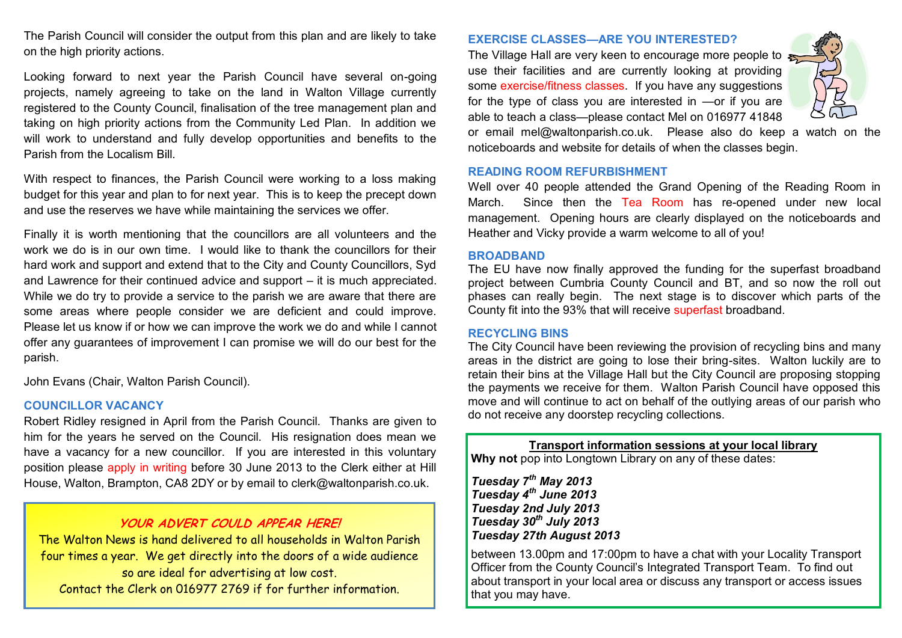The Parish Council will consider the output from this plan and are likely to take on the high priority actions.

Looking forward to next year the Parish Council have several on-going projects, namely agreeing to take on the land in Walton Village currently registered to the County Council, finalisation of the tree management plan and taking on high priority actions from the Community Led Plan. In addition we will work to understand and fully develop opportunities and benefits to the Parish from the Localism Bill.

With respect to finances, the Parish Council were working to a loss making budget for this year and plan to for next year. This is to keep the precept down and use the reserves we have while maintaining the services we offer.

Finally it is worth mentioning that the councillors are all volunteers and the work we do is in our own time. I would like to thank the councillors for their hard work and support and extend that to the City and County Councillors, Syd and Lawrence for their continued advice and support – it is much appreciated. While we do try to provide a service to the parish we are aware that there are some areas where people consider we are deficient and could improve. Please let us know if or how we can improve the work we do and while I cannot offer any guarantees of improvement I can promise we will do our best for the parish.

John Evans (Chair, Walton Parish Council).

# **COUNCILLOR VACANCY**

Robert Ridley resigned in April from the Parish Council. Thanks are given to him for the years he served on the Council. His resignation does mean we have a vacancy for a new councillor. If you are interested in this voluntary position please apply in writing before 30 June 2013 to the Clerk either at Hill House, Walton, Brampton, CA8 2DY or by email to clerk@waltonparish.co.uk.

# **YOUR ADVERT COULD APPEAR HERE!**

The Walton News is hand delivered to all households in Walton Parish four times a year. We get directly into the doors of a wide audience so are ideal for advertising at low cost. Contact the Clerk on 016977 2769 if for further information.

## **EXERCISE CLASSES—ARE YOU INTERESTED?**

The Village Hall are very keen to encourage more people to use their facilities and are currently looking at providing some exercise/fitness classes. If you have any suggestions for the type of class you are interested in —or if you are able to teach a class—please contact Mel on 016977 41848



or email mel@waltonparish.co.uk. Please also do keep a watch on the noticeboards and website for details of when the classes begin.

## **READING ROOM REFURBISHMENT**

Well over 40 people attended the Grand Opening of the Reading Room in March. Since then the Tea Room has re-opened under new local management. Opening hours are clearly displayed on the noticeboards and Heather and Vicky provide a warm welcome to all of you!

## **BROADBAND**

The EU have now finally approved the funding for the superfast broadband project between Cumbria County Council and BT, and so now the roll out phases can really begin. The next stage is to discover which parts of the County fit into the 93% that will receive superfast broadband.

### **RECYCLING BINS**

The City Council have been reviewing the provision of recycling bins and many areas in the district are going to lose their bring-sites. Walton luckily are to retain their bins at the Village Hall but the City Council are proposing stopping the payments we receive for them. Walton Parish Council have opposed this move and will continue to act on behalf of the outlying areas of our parish who do not receive any doorstep recycling collections.

# **Transport information sessions at your local library**

**Why not** pop into Longtown Library on any of these dates:

*Tuesday 7th May 2013 Tuesday 4th June 2013 Tuesday 2nd July 2013 Tuesday 30th July 2013 Tuesday 27th August 2013* 

between 13.00pm and 17:00pm to have a chat with your Locality Transport Officer from the County Council's Integrated Transport Team. To find out about transport in your local area or discuss any transport or access issues that you may have.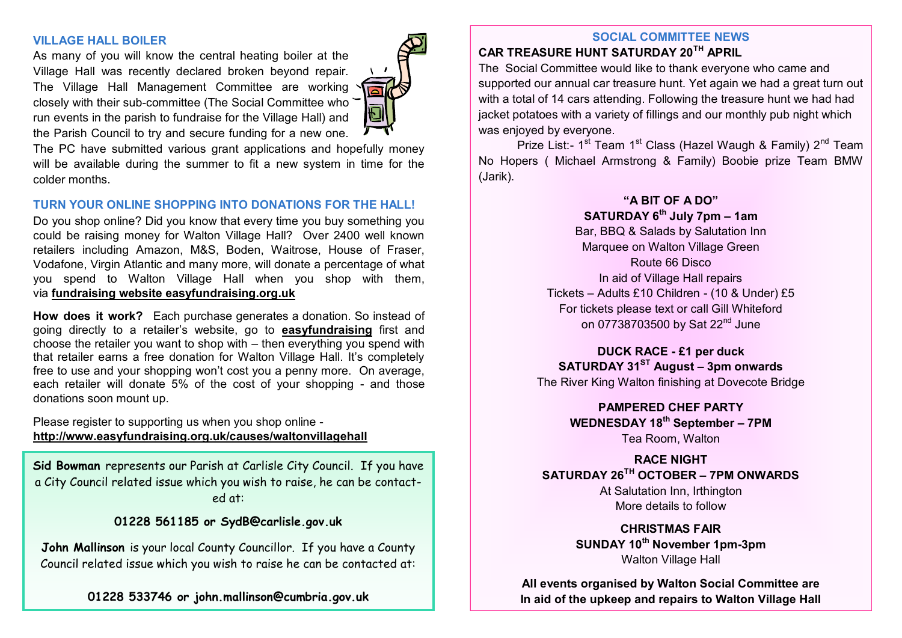## **VILLAGE HALL BOILER**

As many of you will know the central heating boiler at the Village Hall was recently declared broken beyond repair. The Village Hall Management Committee are working closely with their sub-committee (The Social Committee who run events in the parish to fundraise for the Village Hall) and the Parish Council to try and secure funding for a new one.

The PC have submitted various grant applications and hopefully money will be available during the summer to fit a new system in time for the colder months.

# **TURN YOUR ONLINE SHOPPING INTO DONATIONS FOR THE HALL!**

Do you shop online? Did you know that every time you buy something you could be raising money for Walton Village Hall? Over 2400 well known retailers including Amazon, M&S, Boden, Waitrose, House of Fraser, Vodafone, Virgin Atlantic and many more, will donate a percentage of what you spend to Walton Village Hall when you shop with them, via **[fundraising website easyfundraising.org.uk](http://www.easyfundraising.org.uk/causes/waltonvillagehall)**

**How does it work?** Each purchase generates a donation. So instead of going directly to a retailer's website, go to **[easyfundraising](http://www.easyfundraising.org.uk/causes/waltonvillagehall)** first and choose the retailer you want to shop with – then everything you spend with that retailer earns a free donation for Walton Village Hall. It's completely free to use and your shopping won't cost you a penny more. On average, each retailer will donate 5% of the cost of your shopping - and those donations soon mount up.

Please register to supporting us when you shop online **<http://www.easyfundraising.org.uk/causes/waltonvillagehall>**

**Sid Bowman** represents our Parish at Carlisle City Council. If you have a City Council related issue which you wish to raise, he can be contacted at:

**01228 561185 or SydB@carlisle.gov.uk**

**John Mallinson** is your local County Councillor. If you have a County Council related issue which you wish to raise he can be contacted at:

**01228 533746 or john.mallinson@cumbria.gov.uk**

# **SOCIAL COMMITTEE NEWS**

# **CAR TREASURE HUNT SATURDAY 20TH APRIL**

The Social Committee would like to thank everyone who came and supported our annual car treasure hunt. Yet again we had a great turn out with a total of 14 cars attending. Following the treasure hunt we had had jacket potatoes with a variety of fillings and our monthly pub night which was enjoyed by everyone.

Prize List:- 1<sup>st</sup> Team 1<sup>st</sup> Class (Hazel Waugh & Family) 2<sup>nd</sup> Team No Hopers ( Michael Armstrong & Family) Boobie prize Team BMW (Jarik).

# **"A BIT OF A DO" SATURDAY 6th July 7pm – 1am**

Bar, BBQ & Salads by Salutation Inn Marquee on Walton Village Green Route 66 Disco In aid of Village Hall repairs Tickets – Adults £10 Children - (10 & Under) £5 For tickets please text or call Gill Whiteford on 07738703500 by Sat 22<sup>nd</sup> June

**DUCK RACE - £1 per duck SATURDAY 31ST August – 3pm onwards** The River King Walton finishing at Dovecote Bridge

> **PAMPERED CHEF PARTY WEDNESDAY 18th September – 7PM** Tea Room, Walton

# **RACE NIGHT SATURDAY 26TH OCTOBER – 7PM ONWARDS**

At Salutation Inn, Irthington More details to follow

**CHRISTMAS FAIR SUNDAY 10th November 1pm-3pm**  Walton Village Hall

**All events organised by Walton Social Committee are In aid of the upkeep and repairs to Walton Village Hall**